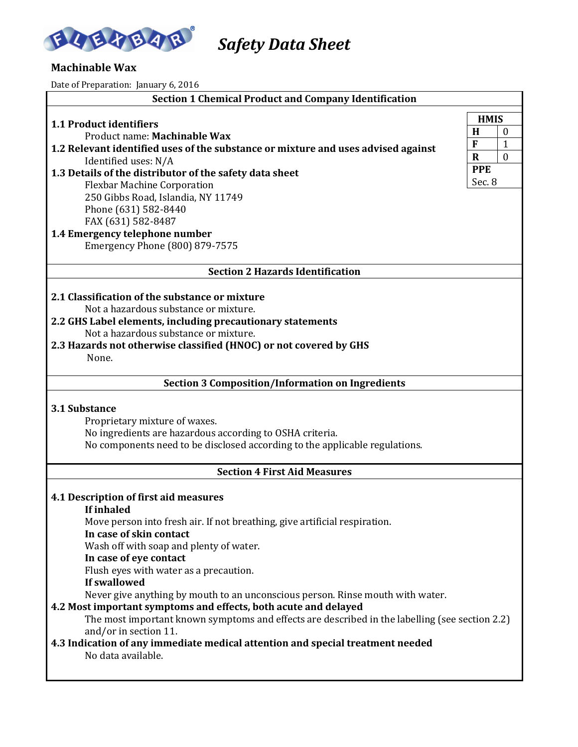

*Safety Data Sheet* 

# **Machinable Wax**

Date of Preparation: January 6, 2016

| <b>Section 1 Chemical Product and Company Identification</b>                                                                                                                                     |             |              |  |
|--------------------------------------------------------------------------------------------------------------------------------------------------------------------------------------------------|-------------|--------------|--|
| <b>1.1 Product identifiers</b>                                                                                                                                                                   | <b>HMIS</b> |              |  |
| Product name: Machinable Wax                                                                                                                                                                     |             |              |  |
| 1.2 Relevant identified uses of the substance or mixture and uses advised against                                                                                                                | F           | 1            |  |
| Identified uses: N/A                                                                                                                                                                             | $\mathbf R$ | $\mathbf{0}$ |  |
| 1.3 Details of the distributor of the safety data sheet                                                                                                                                          | <b>PPE</b>  |              |  |
| <b>Flexbar Machine Corporation</b>                                                                                                                                                               | Sec. 8      |              |  |
| 250 Gibbs Road, Islandia, NY 11749                                                                                                                                                               |             |              |  |
| Phone (631) 582-8440                                                                                                                                                                             |             |              |  |
| FAX (631) 582-8487                                                                                                                                                                               |             |              |  |
| 1.4 Emergency telephone number<br>Emergency Phone (800) 879-7575                                                                                                                                 |             |              |  |
| <b>Section 2 Hazards Identification</b>                                                                                                                                                          |             |              |  |
| 2.1 Classification of the substance or mixture                                                                                                                                                   |             |              |  |
| Not a hazardous substance or mixture.                                                                                                                                                            |             |              |  |
| 2.2 GHS Label elements, including precautionary statements                                                                                                                                       |             |              |  |
| Not a hazardous substance or mixture.                                                                                                                                                            |             |              |  |
| 2.3 Hazards not otherwise classified (HNOC) or not covered by GHS                                                                                                                                |             |              |  |
| None.                                                                                                                                                                                            |             |              |  |
| <b>Section 3 Composition/Information on Ingredients</b>                                                                                                                                          |             |              |  |
| <b>3.1 Substance</b><br>Proprietary mixture of waxes.<br>No ingredients are hazardous according to OSHA criteria.<br>No components need to be disclosed according to the applicable regulations. |             |              |  |
| <b>Section 4 First Aid Measures</b>                                                                                                                                                              |             |              |  |
|                                                                                                                                                                                                  |             |              |  |
| 4.1 Description of first aid measures                                                                                                                                                            |             |              |  |
| If inhaled                                                                                                                                                                                       |             |              |  |
| Move person into fresh air. If not breathing, give artificial respiration.<br>In case of skin contact                                                                                            |             |              |  |
| Wash off with soap and plenty of water.                                                                                                                                                          |             |              |  |
| In case of eye contact                                                                                                                                                                           |             |              |  |
| Flush eyes with water as a precaution.                                                                                                                                                           |             |              |  |
| If swallowed                                                                                                                                                                                     |             |              |  |
| Never give anything by mouth to an unconscious person. Rinse mouth with water.                                                                                                                   |             |              |  |
| 4.2 Most important symptoms and effects, both acute and delayed                                                                                                                                  |             |              |  |
|                                                                                                                                                                                                  |             |              |  |
| The most important known symptoms and effects are described in the labelling (see section 2.2)                                                                                                   |             |              |  |
| and/or in section 11.                                                                                                                                                                            |             |              |  |
| 4.3 Indication of any immediate medical attention and special treatment needed                                                                                                                   |             |              |  |
| No data available.                                                                                                                                                                               |             |              |  |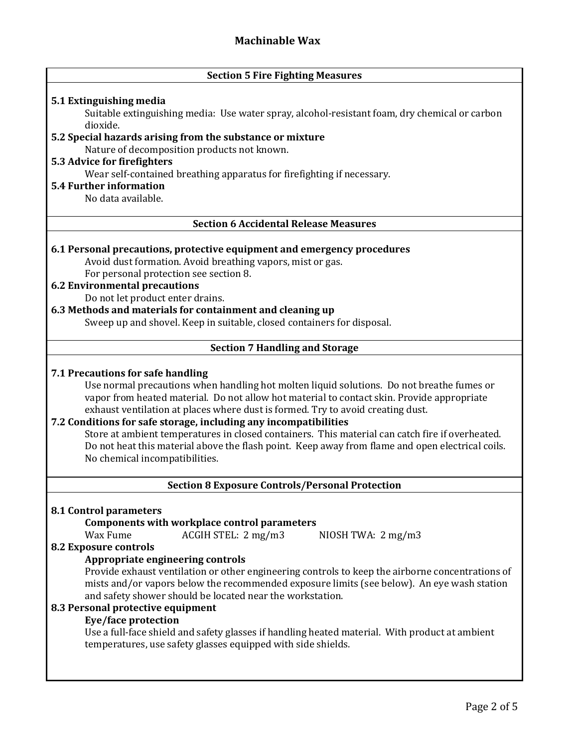|  |  |  |  | <b>Section 5 Fire Fighting Measures</b> |
|--|--|--|--|-----------------------------------------|
|--|--|--|--|-----------------------------------------|

## **5.1 Extinguishing media**

Suitable extinguishing media: Use water spray, alcohol-resistant foam, dry chemical or carbon dioxide.

# **5.2 Special hazards arising from the substance or mixture**

Nature of decomposition products not known.

# **5.3 Advice for firefighters**

Wear self-contained breathing apparatus for firefighting if necessary.

# **5.4 Further information**

No data available.

# **Section 6 Accidental Release Measures**

#### **6.1 Personal precautions, protective equipment and emergency procedures**

Avoid dust formation. Avoid breathing vapors, mist or gas. For personal protection see section 8.

# **6.2 Environmental precautions**

Do not let product enter drains.

# **6.3 Methods and materials for containment and cleaning up**

Sweep up and shovel. Keep in suitable, closed containers for disposal.

# **Section 7 Handling and Storage**

#### **7.1 Precautions for safe handling**

Use normal precautions when handling hot molten liquid solutions. Do not breathe fumes or vapor from heated material. Do not allow hot material to contact skin. Provide appropriate exhaust ventilation at places where dust is formed. Try to avoid creating dust.

# **7.2 Conditions for safe storage, including any incompatibilities**

Store at ambient temperatures in closed containers. This material can catch fire if overheated. Do not heat this material above the flash point. Keep away from flame and open electrical coils. No chemical incompatibilities.

#### **Section 8 Exposure Controls/Personal Protection**

#### **8.1 Control parameters**

#### **Components with workplace control parameters**

Wax Fume ACGIH STEL: 2 mg/m3 NIOSH TWA: 2 mg/m3

#### **8.2 Exposure controls**

## **Appropriate engineering controls**

Provide exhaust ventilation or other engineering controls to keep the airborne concentrations of mists and/or vapors below the recommended exposure limits (see below). An eye wash station and safety shower should be located near the workstation.

## **8.3 Personal protective equipment**

#### **Eye/face protection**

Use a full-face shield and safety glasses if handling heated material. With product at ambient temperatures, use safety glasses equipped with side shields.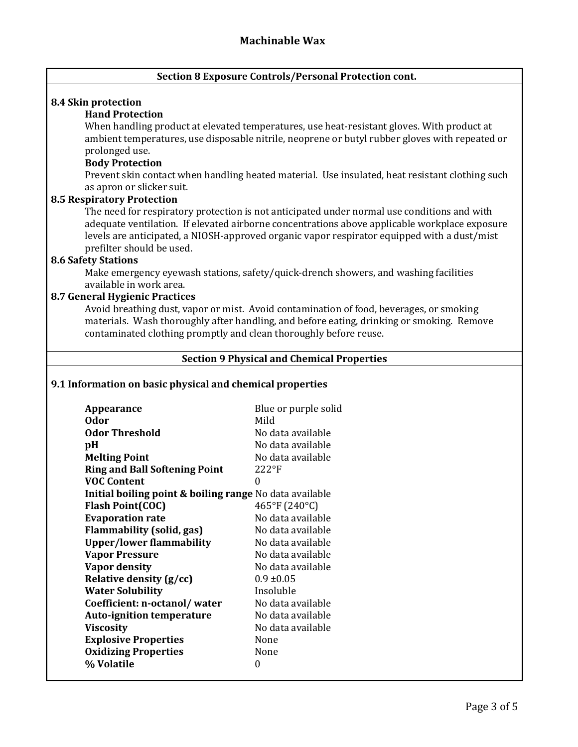# **Section 8 Exposure Controls/Personal Protection cont.**

#### **8.4 Skin protection**

# **Hand Protection**

When handling product at elevated temperatures, use heat-resistant gloves. With product at ambient temperatures, use disposable nitrile, neoprene or butyl rubber gloves with repeated or prolonged use.

#### **Body Protection**

Prevent skin contact when handling heated material. Use insulated, heat resistant clothing such as apron or slicker suit.

#### **8.5 Respiratory Protection**

The need for respiratory protection is not anticipated under normal use conditions and with adequate ventilation. If elevated airborne concentrations above applicable workplace exposure levels are anticipated, a NIOSH-approved organic vapor respirator equipped with a dust/mist prefilter should be used.

#### **8.6 Safety Stations**

Make emergency eyewash stations, safety/quick-drench showers, and washing facilities available in work area.

#### **8.7 General Hygienic Practices**

Avoid breathing dust, vapor or mist. Avoid contamination of food, beverages, or smoking materials. Wash thoroughly after handling, and before eating, drinking or smoking. Remove contaminated clothing promptly and clean thoroughly before reuse.

#### **Section 9 Physical and Chemical Properties**

#### **9.1 Information on basic physical and chemical properties**

| Appearance                                                         | Blue or purple solid |
|--------------------------------------------------------------------|----------------------|
| 0dor                                                               | Mild                 |
| Odor Threshold                                                     | No data available    |
| pH                                                                 | No data available    |
| <b>Melting Point</b>                                               | No data available    |
| <b>Ring and Ball Softening Point</b>                               | $222$ °F             |
| <b>VOC Content</b>                                                 | 0                    |
| <b>Initial boiling point &amp; boiling range</b> No data available |                      |
| <b>Flash Point(COC)</b>                                            | 465°F (240°C)        |
| <b>Evaporation rate</b>                                            | No data available    |
| <b>Flammability (solid, gas)</b>                                   | No data available    |
| <b>Upper/lower flammability</b>                                    | No data available    |
| <b>Vapor Pressure</b>                                              | No data available    |
| <b>Vapor density</b>                                               | No data available    |
| Relative density (g/cc)                                            | $0.9 \pm 0.05$       |
| <b>Water Solubility</b>                                            | Insoluble            |
| Coefficient: n-octanol/water                                       | No data available    |
| <b>Auto-ignition temperature</b>                                   | No data available    |
| <b>Viscosity</b>                                                   | No data available    |
| <b>Explosive Properties</b>                                        | None                 |
| <b>Oxidizing Properties</b>                                        | None                 |
| % Volatile                                                         | 0                    |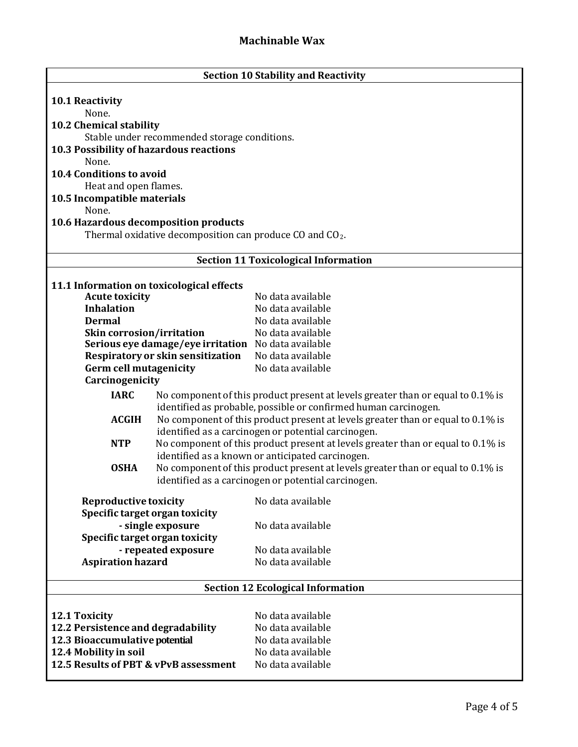| <b>Section 10 Stability and Reactivity</b>                     |                                                                                                                                        |                                                                                                                                     |  |  |
|----------------------------------------------------------------|----------------------------------------------------------------------------------------------------------------------------------------|-------------------------------------------------------------------------------------------------------------------------------------|--|--|
| <b>10.1 Reactivity</b>                                         |                                                                                                                                        |                                                                                                                                     |  |  |
| None.                                                          |                                                                                                                                        |                                                                                                                                     |  |  |
| 10.2 Chemical stability                                        |                                                                                                                                        |                                                                                                                                     |  |  |
|                                                                | Stable under recommended storage conditions.                                                                                           |                                                                                                                                     |  |  |
| 10.3 Possibility of hazardous reactions                        |                                                                                                                                        |                                                                                                                                     |  |  |
| None.                                                          |                                                                                                                                        |                                                                                                                                     |  |  |
| <b>10.4 Conditions to avoid</b>                                |                                                                                                                                        |                                                                                                                                     |  |  |
| Heat and open flames.                                          |                                                                                                                                        |                                                                                                                                     |  |  |
| 10.5 Incompatible materials                                    |                                                                                                                                        |                                                                                                                                     |  |  |
| None.                                                          |                                                                                                                                        |                                                                                                                                     |  |  |
| 10.6 Hazardous decomposition products                          |                                                                                                                                        |                                                                                                                                     |  |  |
|                                                                | Thermal oxidative decomposition can produce CO and $CO2$ .                                                                             |                                                                                                                                     |  |  |
|                                                                |                                                                                                                                        | <b>Section 11 Toxicological Information</b>                                                                                         |  |  |
| 11.1 Information on toxicological effects                      |                                                                                                                                        |                                                                                                                                     |  |  |
| <b>Acute toxicity</b>                                          |                                                                                                                                        | No data available                                                                                                                   |  |  |
| <b>Inhalation</b>                                              |                                                                                                                                        | No data available                                                                                                                   |  |  |
| <b>Dermal</b>                                                  |                                                                                                                                        | No data available                                                                                                                   |  |  |
| Skin corrosion/irritation                                      |                                                                                                                                        | No data available                                                                                                                   |  |  |
|                                                                | Serious eye damage/eye irritation No data available                                                                                    |                                                                                                                                     |  |  |
|                                                                | Respiratory or skin sensitization                                                                                                      | No data available                                                                                                                   |  |  |
| <b>Germ cell mutagenicity</b>                                  |                                                                                                                                        | No data available                                                                                                                   |  |  |
| Carcinogenicity                                                |                                                                                                                                        |                                                                                                                                     |  |  |
| <b>IARC</b>                                                    |                                                                                                                                        | No component of this product present at levels greater than or equal to 0.1% is                                                     |  |  |
|                                                                |                                                                                                                                        | identified as probable, possible or confirmed human carcinogen.                                                                     |  |  |
| <b>ACGIH</b>                                                   |                                                                                                                                        | No component of this product present at levels greater than or equal to 0.1% is                                                     |  |  |
|                                                                |                                                                                                                                        | identified as a carcinogen or potential carcinogen.                                                                                 |  |  |
| <b>NTP</b>                                                     |                                                                                                                                        | No component of this product present at levels greater than or equal to 0.1% is<br>identified as a known or anticipated carcinogen. |  |  |
| <b>OSHA</b>                                                    |                                                                                                                                        |                                                                                                                                     |  |  |
|                                                                | No component of this product present at levels greater than or equal to 0.1% is<br>identified as a carcinogen or potential carcinogen. |                                                                                                                                     |  |  |
|                                                                |                                                                                                                                        |                                                                                                                                     |  |  |
| <b>Reproductive toxicity</b>                                   |                                                                                                                                        | No data available                                                                                                                   |  |  |
| Specific target organ toxicity                                 |                                                                                                                                        |                                                                                                                                     |  |  |
|                                                                | - single exposure                                                                                                                      | No data available                                                                                                                   |  |  |
| Specific target organ toxicity                                 | - repeated exposure                                                                                                                    | No data available                                                                                                                   |  |  |
| <b>Aspiration hazard</b>                                       |                                                                                                                                        | No data available                                                                                                                   |  |  |
|                                                                |                                                                                                                                        |                                                                                                                                     |  |  |
| <b>Section 12 Ecological Information</b>                       |                                                                                                                                        |                                                                                                                                     |  |  |
|                                                                |                                                                                                                                        |                                                                                                                                     |  |  |
| <b>12.1 Toxicity</b>                                           |                                                                                                                                        | No data available                                                                                                                   |  |  |
| 12.2 Persistence and degradability                             |                                                                                                                                        | No data available                                                                                                                   |  |  |
| 12.3 Bioaccumulative potential                                 |                                                                                                                                        | No data available<br>No data available                                                                                              |  |  |
| 12.4 Mobility in soil<br>12.5 Results of PBT & vPvB assessment |                                                                                                                                        | No data available                                                                                                                   |  |  |
|                                                                |                                                                                                                                        |                                                                                                                                     |  |  |